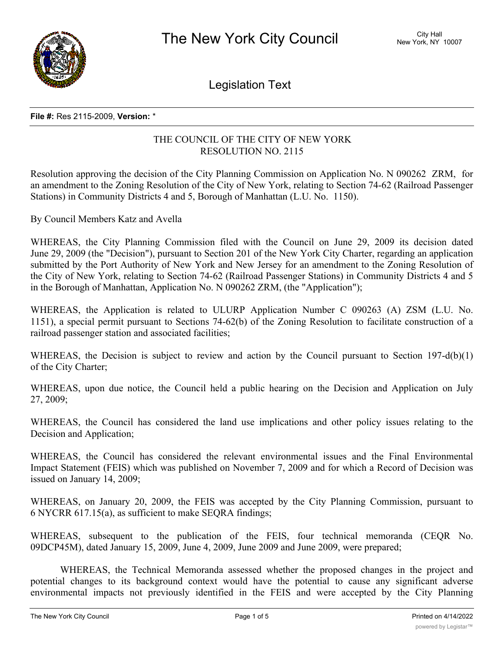

Legislation Text

#### **File #:** Res 2115-2009, **Version:** \*

### THE COUNCIL OF THE CITY OF NEW YORK RESOLUTION NO. 2115

Resolution approving the decision of the City Planning Commission on Application No. N 090262 ZRM, for an amendment to the Zoning Resolution of the City of New York, relating to Section 74-62 (Railroad Passenger Stations) in Community Districts 4 and 5, Borough of Manhattan (L.U. No. 1150).

By Council Members Katz and Avella

WHEREAS, the City Planning Commission filed with the Council on June 29, 2009 its decision dated June 29, 2009 (the "Decision"), pursuant to Section 201 of the New York City Charter, regarding an application submitted by the Port Authority of New York and New Jersey for an amendment to the Zoning Resolution of the City of New York, relating to Section 74-62 (Railroad Passenger Stations) in Community Districts 4 and 5 in the Borough of Manhattan, Application No. N 090262 ZRM, (the "Application");

WHEREAS, the Application is related to ULURP Application Number C 090263 (A) ZSM (L.U. No. 1151), a special permit pursuant to Sections 74-62(b) of the Zoning Resolution to facilitate construction of a railroad passenger station and associated facilities;

WHEREAS, the Decision is subject to review and action by the Council pursuant to Section 197-d(b)(1) of the City Charter;

WHEREAS, upon due notice, the Council held a public hearing on the Decision and Application on July 27, 2009;

WHEREAS, the Council has considered the land use implications and other policy issues relating to the Decision and Application;

WHEREAS, the Council has considered the relevant environmental issues and the Final Environmental Impact Statement (FEIS) which was published on November 7, 2009 and for which a Record of Decision was issued on January 14, 2009;

WHEREAS, on January 20, 2009, the FEIS was accepted by the City Planning Commission, pursuant to 6 NYCRR 617.15(a), as sufficient to make SEQRA findings;

WHEREAS, subsequent to the publication of the FEIS, four technical memoranda (CEQR No. 09DCP45M), dated January 15, 2009, June 4, 2009, June 2009 and June 2009, were prepared;

WHEREAS, the Technical Memoranda assessed whether the proposed changes in the project and potential changes to its background context would have the potential to cause any significant adverse environmental impacts not previously identified in the FEIS and were accepted by the City Planning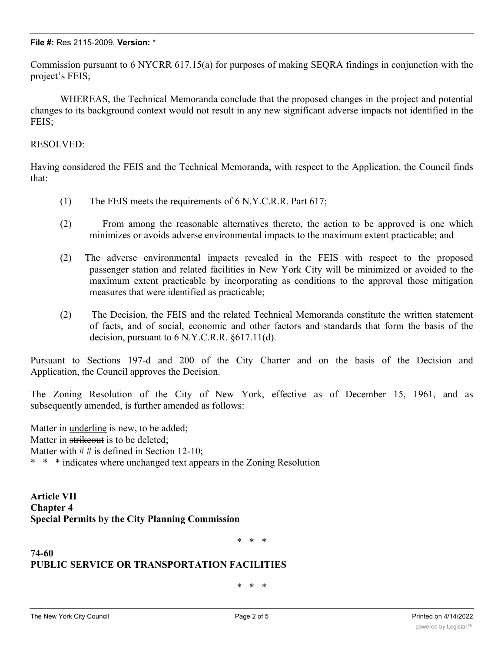Commission pursuant to 6 NYCRR 617.15(a) for purposes of making SEQRA findings in conjunction with the project's FEIS;

WHEREAS, the Technical Memoranda conclude that the proposed changes in the project and potential changes to its background context would not result in any new significant adverse impacts not identified in the FEIS;

### RESOLVED:

Having considered the FEIS and the Technical Memoranda, with respect to the Application, the Council finds that:

- (1) The FEIS meets the requirements of 6 N.Y.C.R.R. Part 617;
- (2) From among the reasonable alternatives thereto, the action to be approved is one which minimizes or avoids adverse environmental impacts to the maximum extent practicable; and
- (2) The adverse environmental impacts revealed in the FEIS with respect to the proposed passenger station and related facilities in New York City will be minimized or avoided to the maximum extent practicable by incorporating as conditions to the approval those mitigation measures that were identified as practicable;
- (2) The Decision, the FEIS and the related Technical Memoranda constitute the written statement of facts, and of social, economic and other factors and standards that form the basis of the decision, pursuant to 6 N.Y.C.R.R. §617.11(d).

Pursuant to Sections 197-d and 200 of the City Charter and on the basis of the Decision and Application, the Council approves the Decision.

The Zoning Resolution of the City of New York, effective as of December 15, 1961, and as subsequently amended, is further amended as follows:

Matter in underline is new, to be added; Matter in strikeout is to be deleted; Matter with  $\# \#$  is defined in Section 12-10; \* \* \* indicates where unchanged text appears in the Zoning Resolution

**Article VII Chapter 4 Special Permits by the City Planning Commission**

\* \* \*

# **PUBLIC SERVICE OR TRANSPORTATION FACILITIES**

\* \* \*

**74-60**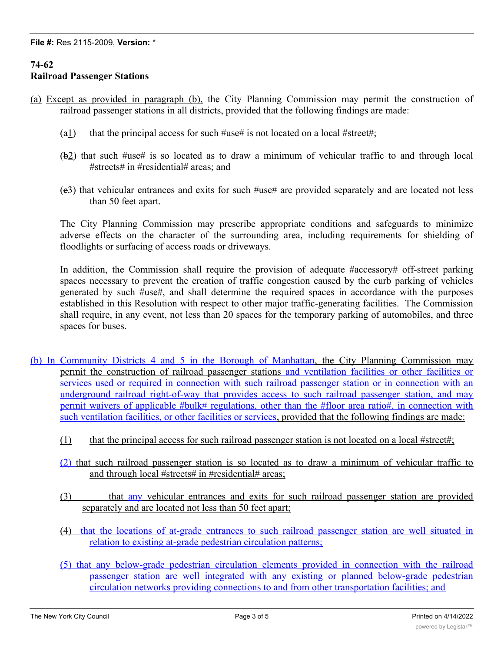## **74-62 Railroad Passenger Stations**

- (a) Except as provided in paragraph (b), the City Planning Commission may permit the construction of railroad passenger stations in all districts, provided that the following findings are made:
	- (a1) that the principal access for such  $\#$ use# is not located on a local  $\#$ street#;
	- (b2) that such #use# is so located as to draw a minimum of vehicular traffic to and through local #streets# in #residential# areas; and
	- (c3) that vehicular entrances and exits for such #use# are provided separately and are located not less than 50 feet apart.

The City Planning Commission may prescribe appropriate conditions and safeguards to minimize adverse effects on the character of the surrounding area, including requirements for shielding of floodlights or surfacing of access roads or driveways.

In addition, the Commission shall require the provision of adequate #accessory# off-street parking spaces necessary to prevent the creation of traffic congestion caused by the curb parking of vehicles generated by such #use#, and shall determine the required spaces in accordance with the purposes established in this Resolution with respect to other major traffic-generating facilities. The Commission shall require, in any event, not less than 20 spaces for the temporary parking of automobiles, and three spaces for buses.

- (b) In Community Districts 4 and 5 in the Borough of Manhattan, the City Planning Commission may permit the construction of railroad passenger stations and ventilation facilities or other facilities or services used or required in connection with such railroad passenger station or in connection with an underground railroad right-of-way that provides access to such railroad passenger station, and may permit waivers of applicable #bulk# regulations, other than the #floor area ratio#, in connection with such ventilation facilities, or other facilities or services, provided that the following findings are made:
	- (1) that the principal access for such railroad passenger station is not located on a local #street#;
	- (2) that such railroad passenger station is so located as to draw a minimum of vehicular traffic to and through local #streets# in #residential# areas;
	- (3) that any vehicular entrances and exits for such railroad passenger station are provided separately and are located not less than 50 feet apart;
	- (4) that the locations of at-grade entrances to such railroad passenger station are well situated in relation to existing at-grade pedestrian circulation patterns;
	- (5) that any below-grade pedestrian circulation elements provided in connection with the railroad passenger station are well integrated with any existing or planned below-grade pedestrian circulation networks providing connections to and from other transportation facilities; and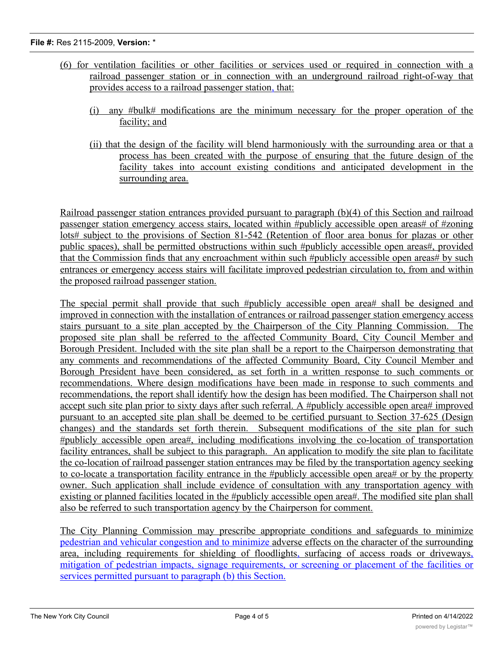### **File #:** Res 2115-2009, **Version:** \*

- (6) for ventilation facilities or other facilities or services used or required in connection with a railroad passenger station or in connection with an underground railroad right-of-way that provides access to a railroad passenger station, that:
	- (i) any #bulk# modifications are the minimum necessary for the proper operation of the facility; and
	- (ii) that the design of the facility will blend harmoniously with the surrounding area or that a process has been created with the purpose of ensuring that the future design of the facility takes into account existing conditions and anticipated development in the surrounding area.

Railroad passenger station entrances provided pursuant to paragraph (b)(4) of this Section and railroad passenger station emergency access stairs, located within #publicly accessible open areas# of #zoning lots# subject to the provisions of Section 81-542 (Retention of floor area bonus for plazas or other public spaces), shall be permitted obstructions within such #publicly accessible open areas#, provided that the Commission finds that any encroachment within such #publicly accessible open areas# by such entrances or emergency access stairs will facilitate improved pedestrian circulation to, from and within the proposed railroad passenger station.

The special permit shall provide that such #publicly accessible open area# shall be designed and improved in connection with the installation of entrances or railroad passenger station emergency access stairs pursuant to a site plan accepted by the Chairperson of the City Planning Commission. The proposed site plan shall be referred to the affected Community Board, City Council Member and Borough President. Included with the site plan shall be a report to the Chairperson demonstrating that any comments and recommendations of the affected Community Board, City Council Member and Borough President have been considered, as set forth in a written response to such comments or recommendations. Where design modifications have been made in response to such comments and recommendations, the report shall identify how the design has been modified. The Chairperson shall not accept such site plan prior to sixty days after such referral. A #publicly accessible open area# improved pursuant to an accepted site plan shall be deemed to be certified pursuant to Section 37-625 (Design changes) and the standards set forth therein. Subsequent modifications of the site plan for such #publicly accessible open area#, including modifications involving the co-location of transportation facility entrances, shall be subject to this paragraph. An application to modify the site plan to facilitate the co-location of railroad passenger station entrances may be filed by the transportation agency seeking to co-locate a transportation facility entrance in the #publicly accessible open area# or by the property owner. Such application shall include evidence of consultation with any transportation agency with existing or planned facilities located in the #publicly accessible open area#. The modified site plan shall also be referred to such transportation agency by the Chairperson for comment.

The City Planning Commission may prescribe appropriate conditions and safeguards to minimize pedestrian and vehicular congestion and to minimize adverse effects on the character of the surrounding area, including requirements for shielding of floodlights, surfacing of access roads or driveways, mitigation of pedestrian impacts, signage requirements, or screening or placement of the facilities or services permitted pursuant to paragraph (b) this Section.